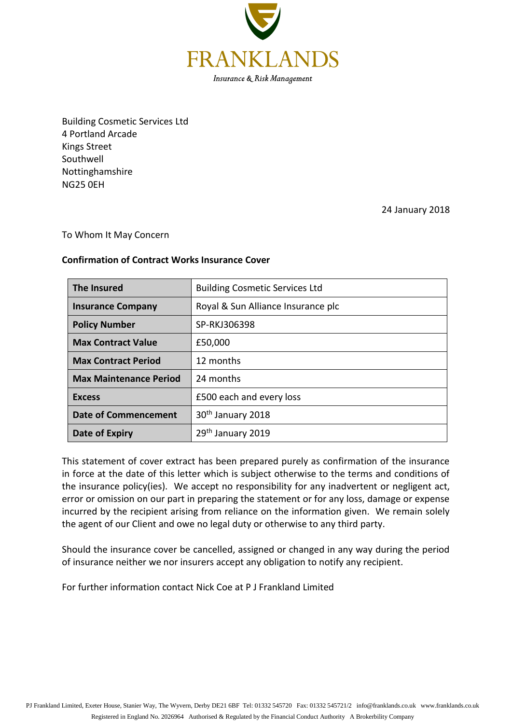

Building Cosmetic Services Ltd 4 Portland Arcade Kings Street Southwell Nottinghamshire NG25 0EH

24 January 2018

## To Whom It May Concern

## **Confirmation of Contract Works Insurance Cover**

| The Insured                   | <b>Building Cosmetic Services Ltd</b> |  |
|-------------------------------|---------------------------------------|--|
| <b>Insurance Company</b>      | Royal & Sun Alliance Insurance plc    |  |
| <b>Policy Number</b>          | SP-RKJ306398                          |  |
| <b>Max Contract Value</b>     | £50,000                               |  |
| <b>Max Contract Period</b>    | 12 months                             |  |
| <b>Max Maintenance Period</b> | 24 months                             |  |
| <b>Excess</b>                 | £500 each and every loss              |  |
| <b>Date of Commencement</b>   | 30 <sup>th</sup> January 2018         |  |
| Date of Expiry                | 29 <sup>th</sup> January 2019         |  |

This statement of cover extract has been prepared purely as confirmation of the insurance in force at the date of this letter which is subject otherwise to the terms and conditions of the insurance policy(ies). We accept no responsibility for any inadvertent or negligent act, error or omission on our part in preparing the statement or for any loss, damage or expense incurred by the recipient arising from reliance on the information given. We remain solely the agent of our Client and owe no legal duty or otherwise to any third party.

Should the insurance cover be cancelled, assigned or changed in any way during the period of insurance neither we nor insurers accept any obligation to notify any recipient.

For further information contact Nick Coe at P J Frankland Limited